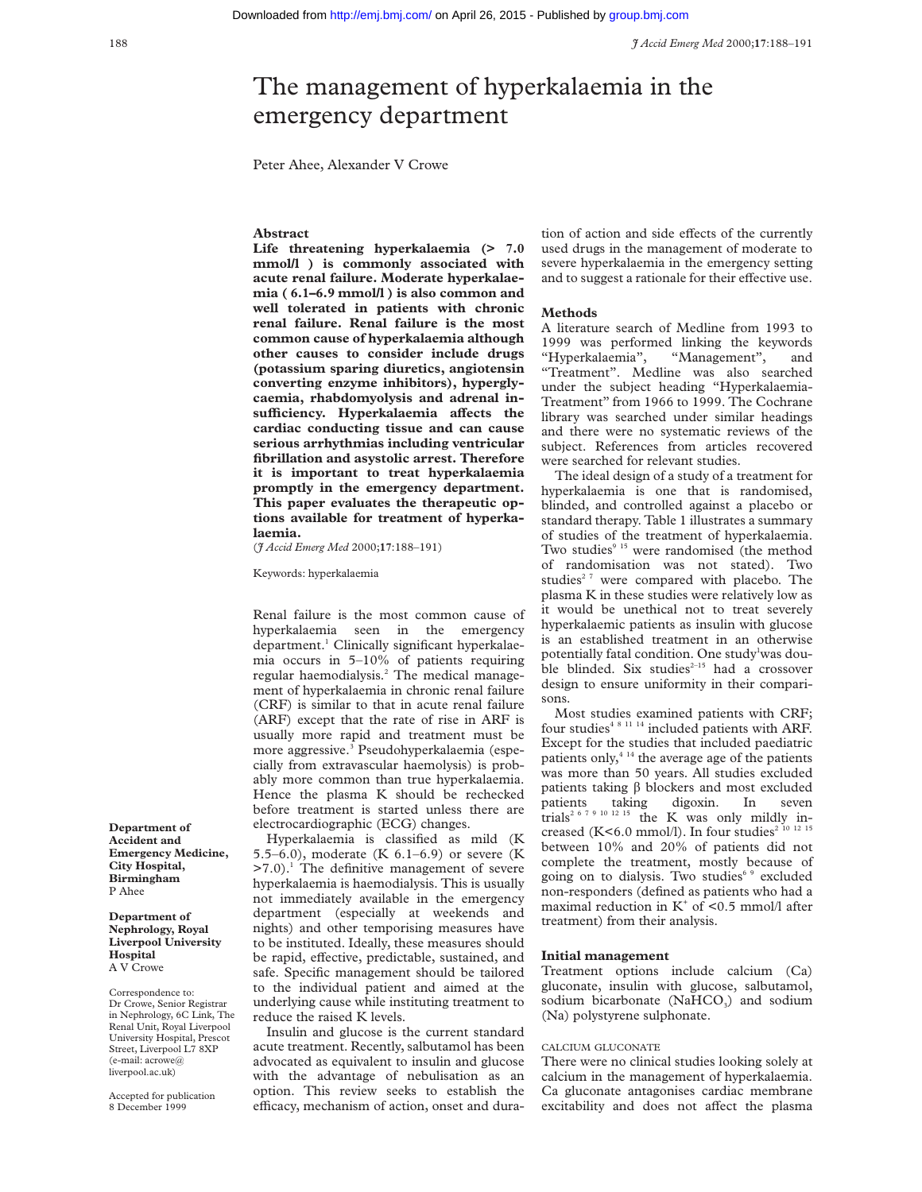# The management of hyperkalaemia in the emergency department

Peter Ahee, Alexander V Crowe

### **Abstract**

**Life threatening hyperkalaemia (> 7.0 mmol/l ) is commonly associated with acute renal failure. Moderate hyperkalaemia ( 6.1–6.9 mmol/l ) is also common and well tolerated in patients with chronic renal failure. Renal failure is the most common cause of hyperkalaemia although other causes to consider include drugs (potassium sparing diuretics, angiotensin converting enzyme inhibitors), hyperglycaemia, rhabdomyolysis and adrenal insuYciency. Hyperkalaemia aVects the cardiac conducting tissue and can cause serious arrhythmias including ventricular fibrillation and asystolic arrest. Therefore it is important to treat hyperkalaemia promptly in the emergency department. This paper evaluates the therapeutic options available for treatment of hyperkalaemia.**

(*J Accid Emerg Med* 2000;**17**:188–191)

Keywords: hyperkalaemia

Renal failure is the most common cause of hyperkalaemia seen in the emergency department.<sup>1</sup> Clinically significant hyperkalaemia occurs in 5–10% of patients requiring regular haemodialysis.<sup>2</sup> The medical management of hyperkalaemia in chronic renal failure (CRF) is similar to that in acute renal failure (ARF) except that the rate of rise in ARF is usually more rapid and treatment must be more aggressive.3 Pseudohyperkalaemia (especially from extravascular haemolysis) is probably more common than true hyperkalaemia. Hence the plasma K should be rechecked before treatment is started unless there are electrocardiographic (ECG) changes.

Hyperkalaemia is classified as mild (K 5.5–6.0), moderate (K 6.1–6.9) or severe (K  $>7.0$ ).<sup>1</sup> The definitive management of severe hyperkalaemia is haemodialysis. This is usually not immediately available in the emergency department (especially at weekends and nights) and other temporising measures have to be instituted. Ideally, these measures should be rapid, effective, predictable, sustained, and safe. Specific management should be tailored to the individual patient and aimed at the underlying cause while instituting treatment to reduce the raised K levels.

Insulin and glucose is the current standard acute treatment. Recently, salbutamol has been advocated as equivalent to insulin and glucose with the advantage of nebulisation as an option. This review seeks to establish the efficacy, mechanism of action, onset and duration of action and side effects of the currently used drugs in the management of moderate to severe hyperkalaemia in the emergency setting and to suggest a rationale for their effective use.

#### **Methods**

A literature search of Medline from 1993 to 1999 was performed linking the keywords "Hyperkalaemia", "Management", and "Treatment". Medline was also searched under the subject heading "Hyperkalaemia-Treatment" from 1966 to 1999. The Cochrane library was searched under similar headings and there were no systematic reviews of the subject. References from articles recovered were searched for relevant studies.

The ideal design of a study of a treatment for hyperkalaemia is one that is randomised, blinded, and controlled against a placebo or standard therapy. Table 1 illustrates a summary of studies of the treatment of hyperkalaemia. Two studies<sup>9 15</sup> were randomised (the method of randomisation was not stated). Two studies<sup>27</sup> were compared with placebo. The plasma K in these studies were relatively low as it would be unethical not to treat severely hyperkalaemic patients as insulin with glucose is an established treatment in an otherwise potentially fatal condition. One study<sup>1</sup>was double blinded. Six studies<sup>2-15</sup> had a crossover design to ensure uniformity in their comparisons.

Most studies examined patients with CRF; four studies<sup>4 8 11 14</sup> included patients with ARF. Except for the studies that included paediatric patients only, $4^{14}$  the average age of the patients was more than 50 years. All studies excluded patients taking  $\beta$  blockers and most excluded patients taking digoxin. In seven patients taking digoxin. In seven trials<sup>2 6 7 9 10 12 15</sup> the K was only mildly increased (K<6.0 mmol/l). In four studies<sup>2 10 12 15</sup> between 10% and 20% of patients did not complete the treatment, mostly because of going on to dialysis. Two studies<sup>6</sup> <sup>9</sup> excluded non-responders (defined as patients who had a maximal reduction in  $K^+$  of <0.5 mmol/l after treatment) from their analysis.

#### **Initial management**

Treatment options include calcium (Ca) gluconate, insulin with glucose, salbutamol, sodium bicarbonate ( $NAHCO<sub>3</sub>$ ) and sodium (Na) polystyrene sulphonate.

#### CALCIUM GLUCONATE

There were no clinical studies looking solely at calcium in the management of hyperkalaemia. Ca gluconate antagonises cardiac membrane excitability and does not affect the plasma

**Department of Accident and Emergency Medicine, City Hospital, Birmingham** P Ahee

**Department of Nephrology, Royal Liverpool University Hospital** A V Crowe

Correspondence to: Dr Crowe, Senior Registrar in Nephrology, 6C Link, The Renal Unit, Royal Liverpool University Hospital, Prescot Street, Liverpool L7 8XP (e-mail: acrowe@ liverpool.ac.uk)

Accepted for publication 8 December 1999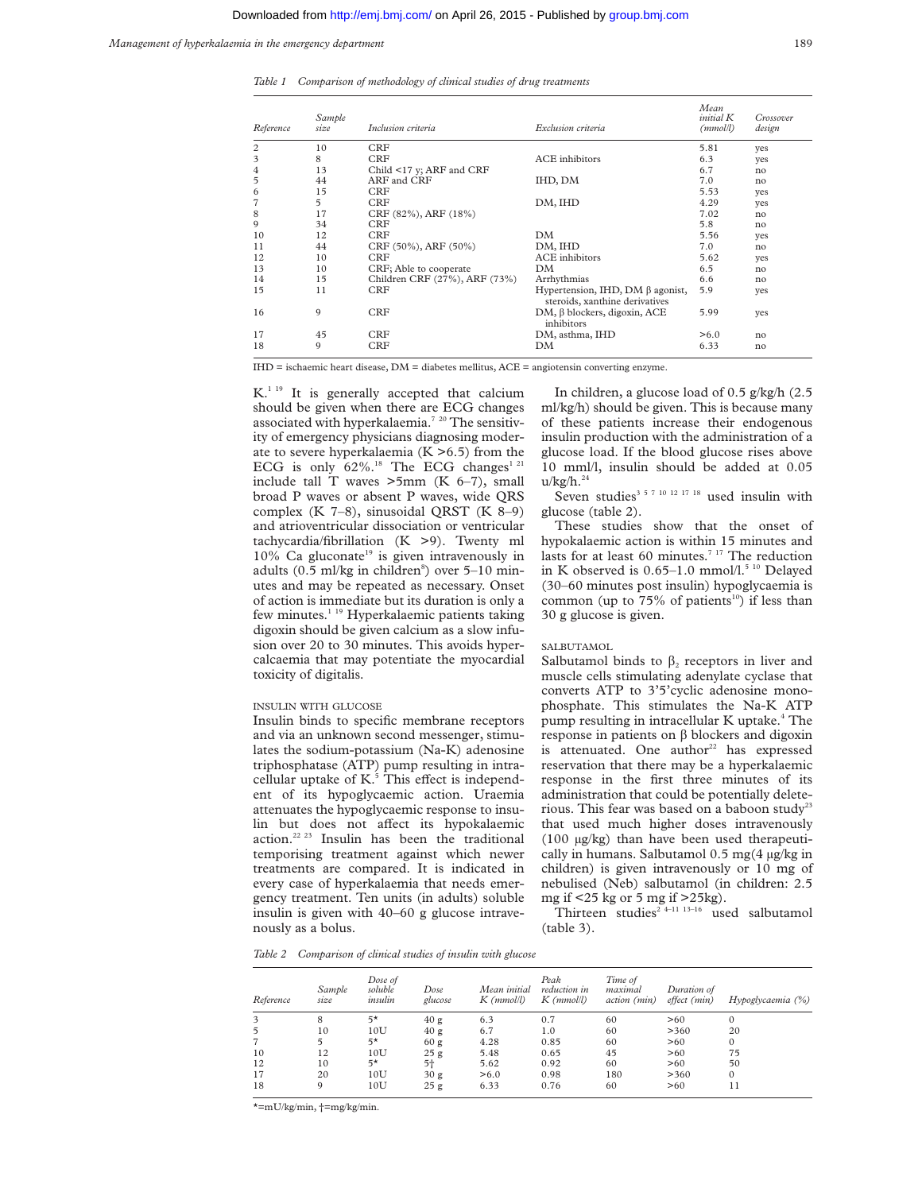*Management of hyperkalaemia in the emergency department* 189

*Table 1 Comparison of methodology of clinical studies of drug treatments*

| Reference      | Sample<br>size | Inclusion criteria            | Exclusion criteria                                                       | Mean<br><i>initial</i> K<br>(mmol/l) | Crossover<br>design |
|----------------|----------------|-------------------------------|--------------------------------------------------------------------------|--------------------------------------|---------------------|
| 2              | 10             | CRF                           |                                                                          | 5.81                                 | yes                 |
| 3              | 8              | <b>CRF</b>                    | <b>ACE</b> inhibitors                                                    | 6.3                                  | yes                 |
| 4              | 13             | Child <17 y; ARF and CRF      |                                                                          | 6.7                                  | no                  |
| 5              | 44             | ARF and CRF                   | IHD, DM                                                                  | 7.0                                  | no                  |
| 6              | 15             | <b>CRF</b>                    |                                                                          | 5.53                                 | yes                 |
| $\overline{7}$ | 5              | <b>CRF</b>                    | DM, IHD                                                                  | 4.29                                 | yes                 |
| 8              | 17             | CRF (82%), ARF (18%)          |                                                                          | 7.02                                 | no                  |
| 9              | 34             | <b>CRF</b>                    |                                                                          | 5.8                                  | no                  |
| 10             | 12             | <b>CRF</b>                    | DM                                                                       | 5.56                                 | yes                 |
| 11             | 44             | CRF (50%), ARF (50%)          | DM, IHD                                                                  | 7.0                                  | no                  |
| 12             | 10             | <b>CRF</b>                    | <b>ACE</b> inhibitors                                                    | 5.62                                 | yes                 |
| 13             | 10             | CRF; Able to cooperate        | DM                                                                       | 6.5                                  | no                  |
| 14             | 15             | Children CRF (27%), ARF (73%) | Arrhythmias                                                              | 6.6                                  | no                  |
| 15             | 11             | CRF                           | Hypertension, IHD, DM $\beta$ agonist,<br>steroids, xanthine derivatives | 5.9                                  | yes                 |
| 16             | 9              | <b>CRF</b>                    | $DM, \beta$ blockers, digoxin, ACE<br>inhibitors                         | 5.99                                 | yes                 |
| 17             | 45             | <b>CRF</b>                    | DM, asthma, IHD                                                          | > 6.0                                | no                  |
| 18             | 9              | CRF                           | DM                                                                       | 6.33                                 | no                  |

IHD = ischaemic heart disease, DM = diabetes mellitus, ACE = angiotensin converting enzyme.

K.<sup>1 19</sup> It is generally accepted that calcium should be given when there are ECG changes associated with hyperkalaemia.<sup>7</sup> <sup>20</sup> The sensitivity of emergency physicians diagnosing moderate to severe hyperkalaemia  $(K > 6.5)$  from the ECG is only  $62\%$ .<sup>18</sup> The ECG changes<sup>1 21</sup> include tall T waves  $>5$ mm (K 6–7), small broad P waves or absent P waves, wide QRS complex (K 7–8), sinusoidal QRST (K 8–9) and atrioventricular dissociation or ventricular tachycardia/fibrillation (K >9). Twenty ml  $10\%$  Ca gluconate<sup>19</sup> is given intravenously in adults (0.5 ml/kg in children<sup>8</sup>) over 5-10 minutes and may be repeated as necessary. Onset of action is immediate but its duration is only a few minutes.<sup>1 19</sup> Hyperkalaemic patients taking digoxin should be given calcium as a slow infusion over 20 to 30 minutes. This avoids hypercalcaemia that may potentiate the myocardial toxicity of digitalis.

#### INSULIN WITH GLUCOSE

Insulin binds to specific membrane receptors and via an unknown second messenger, stimulates the sodium-potassium (Na-K) adenosine triphosphatase (ATP) pump resulting in intracellular uptake of  $K<sup>5</sup>$ . This effect is independent of its hypoglycaemic action. Uraemia attenuates the hypoglycaemic response to insulin but does not affect its hypokalaemic action.22 23 Insulin has been the traditional temporising treatment against which newer treatments are compared. It is indicated in every case of hyperkalaemia that needs emergency treatment. Ten units (in adults) soluble insulin is given with 40–60 g glucose intravenously as a bolus.

In children, a glucose load of 0.5 g/kg/h (2.5 ml/kg/h) should be given. This is because many of these patients increase their endogenous insulin production with the administration of a glucose load. If the blood glucose rises above 10 mml/l, insulin should be added at 0.05  $u/kg/h.<sup>24</sup>$ 

Seven studies<sup>3 5 7 10 12 17 18</sup> used insulin with glucose (table 2).

These studies show that the onset of hypokalaemic action is within 15 minutes and lasts for at least 60 minutes.<sup>7 17</sup> The reduction in K observed is 0.65–1.0 mmol/l.<sup>5 10</sup> Delayed (30–60 minutes post insulin) hypoglycaemia is common (up to  $75\%$  of patients<sup>10</sup>) if less than 30 g glucose is given.

#### SALBUTAMOL

Salbutamol binds to  $\beta_2$  receptors in liver and muscle cells stimulating adenylate cyclase that converts ATP to 3'5'cyclic adenosine monophosphate. This stimulates the Na-K ATP pump resulting in intracellular K uptake.<sup>4</sup> The response in patients on  $\beta$  blockers and digoxin is attenuated. One author $22$  has expressed reservation that there may be a hyperkalaemic response in the first three minutes of its administration that could be potentially deleterious. This fear was based on a baboon study<sup>23</sup> that used much higher doses intravenously (100 µg/kg) than have been used therapeutically in humans. Salbutamol 0.5 mg(4 µg/kg in children) is given intravenously or 10 mg of nebulised (Neb) salbutamol (in children: 2.5 mg if <25 kg or 5 mg if >25kg).

Thirteen studies<sup>2 4-11 13-16</sup> used salbutamol (table 3).

*Table 2 Comparison of clinical studies of insulin with glucose*

| Reference      | Sample<br>size | Dose of<br>soluble<br>insulin | Dose<br>glucose | Mean initial<br>$K$ (mmol/l) | Peak<br>reduction in<br>$K$ (mmol/l) | Time of<br>maximal<br><i>action</i> ( <i>min</i> ) | Duration of<br>effect (min) | Hypoglycaemia (%) |
|----------------|----------------|-------------------------------|-----------------|------------------------------|--------------------------------------|----------------------------------------------------|-----------------------------|-------------------|
| 3              | 8              | $5*$                          | 40 g            | 6.3                          | 0.7                                  | 60                                                 | >60                         | $\Omega$          |
| $\overline{5}$ | 10             | 10U                           | 40 g            | 6.7                          | 1.0                                  | 60                                                 | >360                        | 20                |
|                |                | $5*$                          | 60g             | 4.28                         | 0.85                                 | 60                                                 | >60                         | 0                 |
| 10             | 12             | 10U                           | 25g             | 5.48                         | 0.65                                 | 45                                                 | >60                         | 75                |
| 12             | 10             | $5*$                          | $5+$            | 5.62                         | 0.92                                 | 60                                                 | >60                         | 50                |
| 17             | 20             | 10U                           | 30g             | > 6.0                        | 0.98                                 | 180                                                | >360                        | 0                 |
| 18             | 9              | 10U                           | 25g             | 6.33                         | 0.76                                 | 60                                                 | >60                         | 11                |

 $*$ =mU/kg/min,  $\dagger$ =mg/kg/min.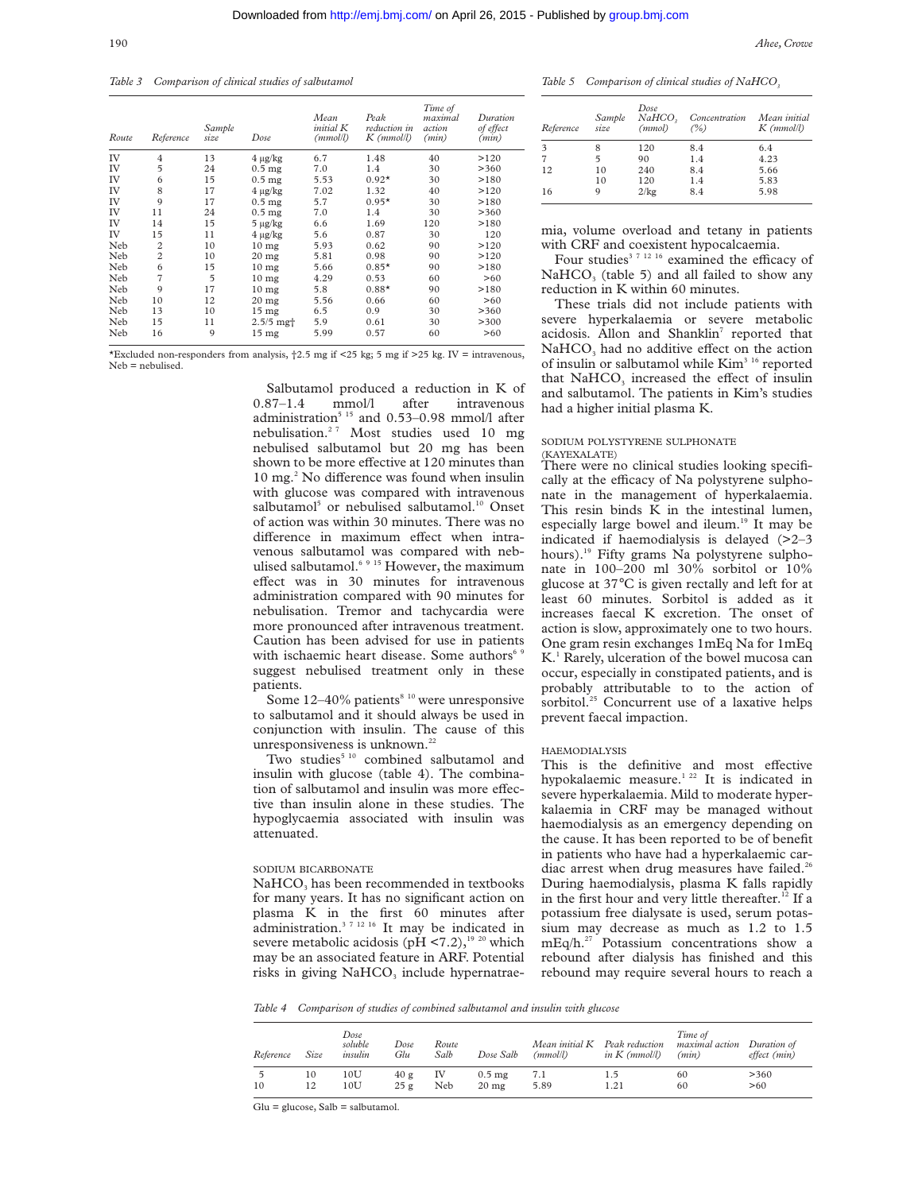*Table 3 Comparison of clinical studies of salbutamol*

| Route | Reference      | Sample<br>size | Dose                 | Mean<br>initial K<br>(mmol/l) | Peak<br>reduction in<br>$K$ (mmol/l) | Time of<br>maximal<br>action<br>(min) | Duration<br>of effect<br>(min) |
|-------|----------------|----------------|----------------------|-------------------------------|--------------------------------------|---------------------------------------|--------------------------------|
| IV    | $\overline{4}$ | 13             | $4 \mu g/kg$         | 6.7                           | 1.48                                 | 40                                    | >120                           |
| IV    | 5              | 24             | $0.5$ mg             | 7.0                           | 1.4                                  | 30                                    | >360                           |
| IV    | 6              | 15             | $0.5$ mg             | 5.53                          | $0.92*$                              | 30                                    | >180                           |
| IV    | 8              | 17             | $4 \mu g/kg$         | 7.02                          | 1.32                                 | 40                                    | >120                           |
| IV    | 9              | 17             | $0.5$ mg             | 5.7                           | $0.95*$                              | 30                                    | >180                           |
| IV    | 11             | 24             | $0.5$ mg             | 7.0                           | 1.4                                  | 30                                    | >360                           |
| IV    | 14             | 15             | $5 \mu g/kg$         | 6.6                           | 1.69                                 | 120                                   | >180                           |
| IV    | 15             | 11             | $4 \mu g/kg$         | 5.6                           | 0.87                                 | 30                                    | 120                            |
| Neb   | $\overline{c}$ | 10             | 10 <sub>mg</sub>     | 5.93                          | 0.62                                 | 90                                    | >120                           |
| Neb   | $\overline{2}$ | 10             | $20$ mg              | 5.81                          | 0.98                                 | 90                                    | >120                           |
| Neb   | 6              | 15             | 10 <sub>mg</sub>     | 5.66                          | $0.85*$                              | 90                                    | >180                           |
| Neb   | 7              | 5              | 10 <sub>mg</sub>     | 4.29                          | 0.53                                 | 60                                    | >60                            |
| Neb   | 9              | 17             | 10 <sub>mg</sub>     | 5.8                           | $0.88*$                              | 90                                    | >180                           |
| Neb   | 10             | 12             | $20$ mg              | 5.56                          | 0.66                                 | 60                                    | >60                            |
| Neb   | 13             | 10             | 15 <sub>mg</sub>     | 6.5                           | 0.9                                  | 30                                    | >360                           |
| Neb   | 15             | 11             | $2.5/5$ mg $\dagger$ | 5.9                           | 0.61                                 | 30                                    | >300                           |
| Neb   | 16             | 9              | 15 <sub>mg</sub>     | 5.99                          | 0.57                                 | 60                                    | >60                            |

\*Excluded non-responders from analysis,  $\frac{1}{2.5}$  mg if <25 kg; 5 mg if >25 kg. IV = intravenous, Neb = nebulised.

> Salbutamol produced a reduction in K of<br>87–1.4 mmol/l after intravenous 0.87–1.4 mmol/l after intravenous administration<sup>5 15</sup> and 0.53–0.98 mmol/l after nebulisation.2 7 Most studies used 10 mg nebulised salbutamol but 20 mg has been shown to be more effective at 120 minutes than 10 mg.<sup>2</sup> No difference was found when insulin with glucose was compared with intravenous salbutamol<sup>5</sup> or nebulised salbutamol.<sup>10</sup> Onset of action was within 30 minutes. There was no difference in maximum effect when intravenous salbutamol was compared with nebulised salbutamol.<sup>6 9 15</sup> However, the maximum effect was in 30 minutes for intravenous administration compared with 90 minutes for nebulisation. Tremor and tachycardia were more pronounced after intravenous treatment. Caution has been advised for use in patients with ischaemic heart disease. Some authors<sup>6,9</sup> suggest nebulised treatment only in these patients.

Some  $12-40\%$  patients<sup>8 10</sup> were unresponsive to salbutamol and it should always be used in conjunction with insulin. The cause of this unresponsiveness is unknown.<sup>22</sup>

Two studies<sup>5 10</sup> combined salbutamol and insulin with glucose (table 4). The combination of salbutamol and insulin was more effective than insulin alone in these studies. The hypoglycaemia associated with insulin was attenuated.

#### SODIUM BICARBONATE

NaHCO<sub>3</sub> has been recommended in textbooks for many years. It has no significant action on plasma K in the first 60 minutes after administration.<sup>3 7 12 16</sup> It may be indicated in severe metabolic acidosis (pH  $\leq$ 7.2),<sup>19 20</sup> which may be an associated feature in ARF. Potential risks in giving NaHCO<sub>3</sub> include hypernatrae-

Table 5 Comparison of clinical studies of NaHCO<sub>3</sub>

| Reference | Sample<br>size | Dose<br>$NaHCO$ ,<br>(mmol) | Concentration<br>$($ %) | Mean initial<br>$K$ ( $mmoll$ ) |
|-----------|----------------|-----------------------------|-------------------------|---------------------------------|
| 3         |                | 120                         | 8.4                     | 6.4                             |
| 7         | 5              | 90                          | 1.4                     | 4.23                            |
| 12        | 10             | 240                         | 8.4                     | 5.66                            |
|           | 10             | 120                         | 1.4                     | 5.83                            |
| 16        | 9              | 2/kg                        | 8.4                     | 5.98                            |

mia, volume overload and tetany in patients with CRF and coexistent hypocalcaemia.

Four studies<sup>3 7 12 16</sup> examined the efficacy of  $NAHCO<sub>3</sub>$  (table 5) and all failed to show any reduction in K within 60 minutes.

These trials did not include patients with severe hyperkalaemia or severe metabolic acidosis. Allon and Shanklin<sup>7</sup> reported that  $NAHCO<sub>3</sub>$  had no additive effect on the action of insulin or salbutamol while Kim<sup>3 16</sup> reported that NaHCO<sub>3</sub> increased the effect of insulin and salbutamol. The patients in Kim's studies had a higher initial plasma K.

### SODIUM POLYSTYRENE SULPHONATE

(KAYEXALATE) There were no clinical studies looking specifically at the efficacy of Na polystyrene sulphonate in the management of hyperkalaemia. This resin binds K in the intestinal lumen, especially large bowel and ileum.<sup>19</sup> It may be indicated if haemodialysis is delayed (>2–3 hours).19 Fifty grams Na polystyrene sulphonate in 100–200 ml 30% sorbitol or 10% glucose at 37°C is given rectally and left for at least 60 minutes. Sorbitol is added as it increases faecal K excretion. The onset of action is slow, approximately one to two hours. One gram resin exchanges 1mEq Na for 1mEq K<sup>1</sup> Rarely, ulceration of the bowel mucosa can occur, especially in constipated patients, and is probably attributable to to the action of sorbitol.<sup>25</sup> Concurrent use of a laxative helps prevent faecal impaction.

#### HAEMODIALYSIS

This is the definitive and most effective hypokalaemic measure.<sup>1 22</sup> It is indicated in severe hyperkalaemia. Mild to moderate hyperkalaemia in CRF may be managed without haemodialysis as an emergency depending on the cause. It has been reported to be of benefit in patients who have had a hyperkalaemic cardiac arrest when drug measures have failed.<sup>26</sup> During haemodialysis, plasma K falls rapidly in the first hour and very little thereafter.<sup>12</sup> If a potassium free dialysate is used, serum potassium may decrease as much as 1.2 to 1.5 mEq/h.27 Potassium concentrations show a rebound after dialysis has finished and this rebound may require several hours to reach a

*Table 4 Comparison of studies of combined salbutamol and insulin with glucose*

| Reference | Size | Dose<br>soluble<br>insulin | Dose<br>Glu | Route<br>Salb | Dose Salb        | Mean initial K<br>(mmol/l) | Peak reduction<br>in $K$ (mmol/l) | Time of<br><i>maximal action</i><br>(min) | Duration of<br>effect (min) |
|-----------|------|----------------------------|-------------|---------------|------------------|----------------------------|-----------------------------------|-------------------------------------------|-----------------------------|
| 10        | 10   | 10U                        | 40 g        | IV            | $0.5 \text{ mg}$ | 7.1                        | 1.5                               | 60                                        | >360                        |
|           | 12   | $10\mathrm{U}$             | 25g         | Neb           | $20 \text{ mg}$  | 5.89                       | 1.21                              | 60                                        | >60                         |

Glu = glucose, Salb = salbutamol.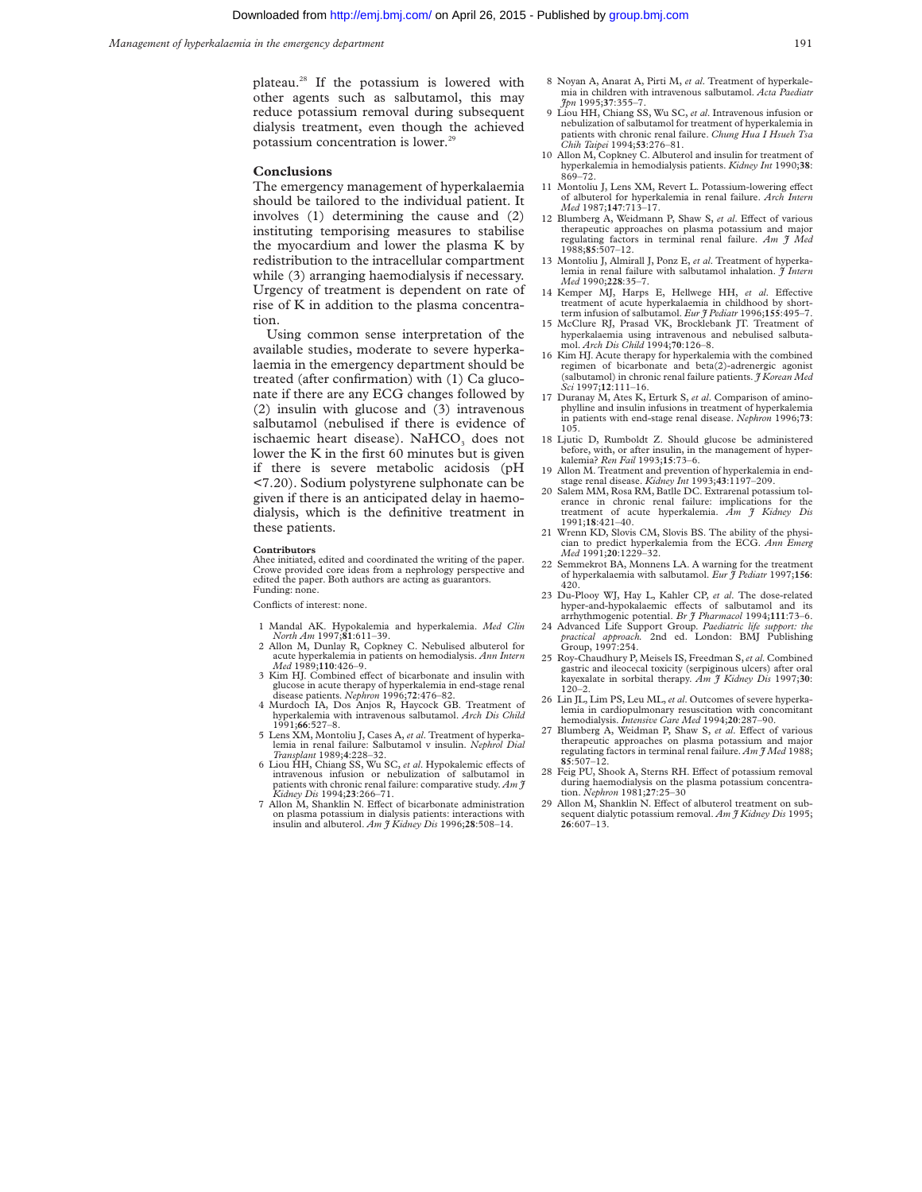plateau.28 If the potassium is lowered with other agents such as salbutamol, this may reduce potassium removal during subsequent dialysis treatment, even though the achieved potassium concentration is lower.<sup>29</sup>

#### **Conclusions**

The emergency management of hyperkalaemia should be tailored to the individual patient. It involves (1) determining the cause and (2) instituting temporising measures to stabilise the myocardium and lower the plasma K by redistribution to the intracellular compartment while (3) arranging haemodialysis if necessary. Urgency of treatment is dependent on rate of rise of K in addition to the plasma concentration.

Using common sense interpretation of the available studies, moderate to severe hyperkalaemia in the emergency department should be treated (after confirmation) with (1) Ca gluconate if there are any ECG changes followed by (2) insulin with glucose and (3) intravenous salbutamol (nebulised if there is evidence of ischaemic heart disease). NaHCO<sub>3</sub> does not lower the K in the first 60 minutes but is given if there is severe metabolic acidosis (pH <7.20). Sodium polystyrene sulphonate can be given if there is an anticipated delay in haemodialysis, which is the definitive treatment in these patients.

#### **Contributors**

Ahee initiated, edited and coordinated the writing of the paper. Crowe provided core ideas from a nephrology perspective and edited the paper. Both authors are acting as guarantors. Funding: none.

Conflicts of interest: none.

- 1 Mandal AK. Hypokalemia and hyperkalemia. *Med Clin North Am* 1997;**81**:611–39.
- 2 Allon M, Dunlay R, Copkney C. Nebulised albuterol for acute hyperkalemia in patients on hemodialysis. *Ann Intern*
- 3 Kim HJ. Combined effect of bicarbonate and insulin with glucose in acute therapy of hyperkalemia in end-stage renal disease patients. *Nephron* 1996;72:476-82.
- 4 Murdoch IA, Dos Anjos R, Haycock GB. Treatment of hyperkalemia with intravenous salbutamol. *Arch Dis Child* 1991;**66**:527–8.
- 5 Lens XM, Montoliu J, Cases A, *et al*. Treatment of hyperkalemia in renal failure: Salbutamol v insulin. *Nephrol Dial Transplant* 1989;**4**:228–32.
- 6 Liou HH, Chiang SS, Wu SC, *et al*. Hypokalemic eVects of intravenous infusion or nebulization of salbutamol in patients with chronic renal failure: comparative study. *Am J Kidney Dis* 1994;**23**:266–71.
- 7 Allon M, Shanklin N. Effect of bicarbonate administration on plasma potassium in dialysis patients: interactions with insulin and albuterol. *Am J Kidney Dis* 1996;**28**:508–14.
- 8 Noyan A, Anarat A, Pirti M, *et al*. Treatment of hyperkalemia in children with intravenous salbutamol. *Acta Paediatr Jpn* 1995;**37**:355–7.
- 9 Liou HH, Chiang SS, Wu SC, *et al*. Intravenous infusion or nebulization of salbutamol for treatment of hyperkalemia in patients with chronic renal failure. *Chung Hua I Hsueh Tsa Chih Taipei* 1994;**53**:276–81.
- 10 Allon M, Copkney C. Albuterol and insulin for treatment of hyperkalemia in hemodialysis patients. *Kidney Int* 1990;**38**: 869–72.
- 11 Montoliu J, Lens XM, Revert L. Potassium-lowering effect of albuterol for hyperkalemia in renal failure. *Arch Intern Med* 1987;**147**:713–17.
- 12 Blumberg A, Weidmann P, Shaw S, et al. Effect of various therapeutic approaches on plasma potassium and major regulating factors in terminal renal failure. *Am J Med* 1988;**85**:507–12.
- 13 Montoliu J, Almirall J, Ponz E, *et al*. Treatment of hyperkalemia in renal failure with salbutamol inhalation. *I Intern Med* 1990;**228**:35–7.
- 14 Kemper MJ, Harps E, Hellwege HH, *et al.* Effective treatment of acute hyperkalaemia in childhood by shortterm infusion of salbutamol. *Eur J Pediatr* 1996;**155**:495–7.
- 15 McClure RJ, Prasad VK, Brocklebank JT. Treatment of hyperkalaemia using intravenous and nebulised salbutamol. *Arch Dis Child* 1994;**70**:126–8.
- 16 Kim HJ. Acute therapy for hyperkalemia with the combined regimen of bicarbonate and beta(2)-adrenergic agonist (salbutamol) in chronic renal failure patients. *J Korean Med Sci* 1997;**12**:111–16.
- 17 Duranay M, Ates K, Erturk S, *et al*. Comparison of aminophylline and insulin infusions in treatment of hyperkalemia in patients with end-stage renal disease. *Nephron* 1996;**73**: 105.
- 18 Ljutic D, Rumboldt Z. Should glucose be administered before, with, or after insulin, in the management of hyperkalemia? *Ren Fail* 1993;**15**:73–6.
- 19 Allon M. Treatment and prevention of hyperkalemia in end-stage renal disease. *Kidney Int* 1993;**43**:1197–209.
- 20 Salem MM, Rosa RM, Batlle DC. Extrarenal potassium tolerance in chronic renal failure: implications for the treatment of acute hyperkalemia. *Am J Kidney Dis* 1991;**18**:421–40.
- 21 Wrenn KD, Slovis CM, Slovis BS. The ability of the physician to predict hyperkalemia from the ECG. *Ann Emerg Med* 1991;**20**:1229–32.
- 22 Semmekrot BA, Monnens LA. A warning for the treatment of hyperkalaemia with salbutamol. *Eur J Pediatr* 1997;**156**: 420.
- 23 Du-Plooy WJ, Hay L, Kahler CP, *et al*. The dose-related hyper-and-hypokalaemic eVects of salbutamol and its arrhythmogenic potential. *Br J Pharmacol* 1994;**111**:73–6.
- 24 Advanced Life Support Group. *Paediatric life support: the practical approach.* 2nd ed. London: BMJ Publishing Group, 1997:254.
- 25 Roy-Chaudhury P, Meisels IS, Freedman S,*et al*. Combined gastric and ileocecal toxicity (serpiginous ulcers) after oral kayexalate in sorbital therapy. *Am J Kidney Dis* 1997;**30**: 120–2.
- 26 Lin JL, Lim PS, Leu ML,*et al*. Outcomes of severe hyperkalemia in cardiopulmonary resuscitation with concomitant hemodialysis. *Intensive Care Med* 1994;**20**:287–90.
- 27 Blumberg A, Weidman P, Shaw S, et al. Effect of various therapeutic approaches on plasma potassium and major regulating factors in terminal renal failure*. Am J Med* 1988; **85**:507–12.
- 28 Feig PU, Shook A, Sterns RH. Effect of potassium removal during haemodialysis on the plasma potassium concentration. *Nephron* 1981;**27**:25–30
- Allon  $M$ , Shanklin  $N$ . Effect of albuterol treatment on subsequent dialytic potassium removal. *Am J Kidney Dis* 1995; **26**:607–13.